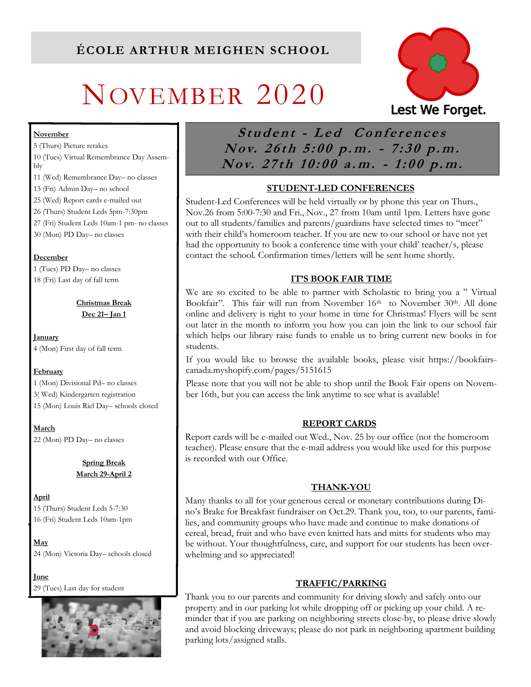# NOVEMBER 2020



#### **November**

5 (Thurs) Picture retakes 10 (Tues) Virtual Remembrance Day Assembly

- 11 (Wed) Remembrance Day– no classes
- 13 (Fri) Admin Day– no school
- 25 (Wed) Report cards e-mailed out
- 26 (Thurs) Student Leds 5pm-7:30pm
- 27 (Fri) Student Leds 10am-1 pm- no classes
- 30 (Mon) PD Day– no classes

#### **December**

1 (Tues) PD Day– no classes 18 (Fri) Last day of fall term

> **Christmas Break Dec 21– Jan 1**

**January**  4 (Mon) First day of fall term

#### **February**

1 (Mon) Divisional Pd– no classes 3( Wed) Kindergarten registration 15 (Mon) Louis Riel Day– schools closed

**March** 22 (Mon) PD Day– no classes

> **Spring Break March 29-April 2**

**April** 15 (Thurs) Student Leds 5-7:30 16 (Fri) Student Leds 10am-1pm

**May** 24 (Mon) Victoria Day– schools closed

**June**  29 (Tues) Last day for student



Student - Led Conferences Nov. 26th 5:00 p.m. - 7:30 p.m. Nov. 27th 10:00 a.m. - 1:00 p.m.

### **STUDENT-LED CONFERENCES**

Student-Led Conferences will be held virtually or by phone this year on Thurs., Nov.26 from 5:00-7:30 and Fri., Nov., 27 from 10am until 1pm. Letters have gone out to all students/families and parents/guardians have selected times to "meet" with their child's homeroom teacher. If you are new to our school or have not yet had the opportunity to book a conference time with your child' teacher/s, please contact the school. Confirmation times/letters will be sent home shortly.

#### **IT'S BOOK FAIR TIME**

We are so excited to be able to partner with Scholastic to bring you a " Virtual Bookfair". This fair will run from November 16<sup>th</sup> to November 30<sup>th</sup>. All done online and delivery is right to your home in time for Christmas! Flyers will be sent out later in the month to inform you how you can join the link to our school fair which helps our library raise funds to enable us to bring current new books in for students.

If you would like to browse the available books, please visit https://bookfairscanada.myshopify.com/pages/5151615

Please note that you will not be able to shop until the Book Fair opens on November 16th, but you can access the link anytime to see what is available!

#### **REPORT CARDS**

Report cards will be e-mailed out Wed., Nov. 25 by our office (not the homeroom teacher). Please ensure that the e-mail address you would like used for this purpose is recorded with our Office.

#### **THANK-YOU**

Many thanks to all for your generous cereal or monetary contributions during Dino's Brake for Breakfast fundraiser on Oct.29. Thank you, too, to our parents, families, and community groups who have made and continue to make donations of cereal, bread, fruit and who have even knitted hats and mitts for students who may be without. Your thoughtfulness, care, and support for our students has been overwhelming and so appreciated!

#### **TRAFFIC/PARKING**

Thank you to our parents and community for driving slowly and safely onto our property and in our parking lot while dropping off or picking up your child. A reminder that if you are parking on neighboring streets close-by, to please drive slowly and avoid blocking driveways; please do not park in neighboring apartment building parking lots/assigned stalls.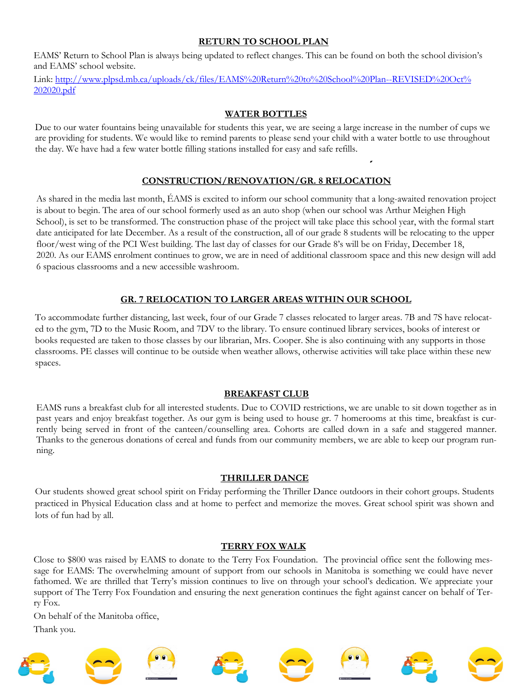#### **RETURN TO SCHOOL PLAN**

EAMS' Return to School Plan is always being updated to reflect changes. This can be found on both the school division's and EAMS' school website.

Link: [http://www.plpsd.mb.ca/uploads/ck/files/EAMS%20Return%20to%20School%20Plan--REVISED%20Oct%](http://www.plpsd.mb.ca/uploads/ck/files/EAMS%20Return%20to%20School%20Plan--REVISED%20Oct%202020.pdf) [202020.pdf](http://www.plpsd.mb.ca/uploads/ck/files/EAMS%20Return%20to%20School%20Plan--REVISED%20Oct%202020.pdf)

#### **WATER BOTTLES**

Due to our water fountains being unavailable for students this year, we are seeing a large increase in the number of cups we are providing for students. We would like to remind parents to please send your child with a water bottle to use throughout the day. We have had a few water bottle filling stations installed for easy and safe refills.

#### **CONSTRUCTION/RENOVATION/GR. 8 RELOCATION**

As shared in the media last month, ÉAMS is excited to inform our school community that a long-awaited renovation project is about to begin. The area of our school formerly used as an auto shop (when our school was Arthur Meighen High School), is set to be transformed. The construction phase of the project will take place this school year, with the formal start date anticipated for late December. As a result of the construction, all of our grade 8 students will be relocating to the upper floor/west wing of the PCI West building. The last day of classes for our Grade 8's will be on Friday, December 18, 2020. As our EAMS enrolment continues to grow, we are in need of additional classroom space and this new design will add 6 spacious classrooms and a new accessible washroom.

#### **GR. 7 RELOCATION TO LARGER AREAS WITHIN OUR SCHOOL**

To accommodate further distancing, last week, four of our Grade 7 classes relocated to larger areas. 7B and 7S have relocated to the gym, 7D to the Music Room, and 7DV to the library. To ensure continued library services, books of interest or books requested are taken to those classes by our librarian, Mrs. Cooper. She is also continuing with any supports in those classrooms. PE classes will continue to be outside when weather allows, otherwise activities will take place within these new spaces.

#### **BREAKFAST CLUB**

EAMS runs a breakfast club for all interested students. Due to COVID restrictions, we are unable to sit down together as in past years and enjoy breakfast together. As our gym is being used to house gr. 7 homerooms at this time, breakfast is currently being served in front of the canteen/counselling area. Cohorts are called down in a safe and staggered manner. Thanks to the generous donations of cereal and funds from our community members, we are able to keep our program running.

#### **THRILLER DANCE**

Our students showed great school spirit on Friday performing the Thriller Dance outdoors in their cohort groups. Students practiced in Physical Education class and at home to perfect and memorize the moves. Great school spirit was shown and lots of fun had by all.

#### **TERRY FOX WALK**

Close to \$800 was raised by EAMS to donate to the Terry Fox Foundation. The provincial office sent the following message for EAMS: The overwhelming amount of support from our schools in Manitoba is something we could have never fathomed. We are thrilled that Terry's mission continues to live on through your school's dedication. We appreciate your support of The Terry Fox Foundation and ensuring the next generation continues the fight against cancer on behalf of Terry Fox.

On behalf of the Manitoba office, Thank you.